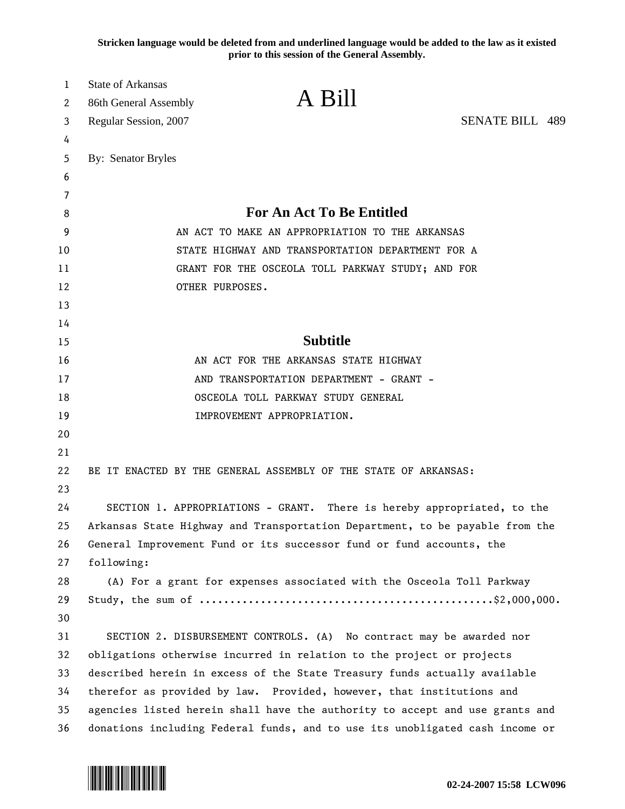**Stricken language would be deleted from and underlined language would be added to the law as it existed prior to this session of the General Assembly.**

| 1  | <b>State of Arkansas</b>                                                     |                                                                       |                        |
|----|------------------------------------------------------------------------------|-----------------------------------------------------------------------|------------------------|
| 2  | 86th General Assembly                                                        | A Bill                                                                |                        |
| 3  | Regular Session, 2007                                                        |                                                                       | <b>SENATE BILL 489</b> |
| 4  |                                                                              |                                                                       |                        |
| 5  | By: Senator Bryles                                                           |                                                                       |                        |
| 6  |                                                                              |                                                                       |                        |
| 7  |                                                                              |                                                                       |                        |
| 8  | For An Act To Be Entitled                                                    |                                                                       |                        |
| 9  | AN ACT TO MAKE AN APPROPRIATION TO THE ARKANSAS                              |                                                                       |                        |
| 10 | STATE HIGHWAY AND TRANSPORTATION DEPARTMENT FOR A                            |                                                                       |                        |
| 11 | GRANT FOR THE OSCEOLA TOLL PARKWAY STUDY; AND FOR                            |                                                                       |                        |
| 12 | OTHER PURPOSES.                                                              |                                                                       |                        |
| 13 |                                                                              |                                                                       |                        |
| 14 |                                                                              |                                                                       |                        |
| 15 | <b>Subtitle</b>                                                              |                                                                       |                        |
| 16 | AN ACT FOR THE ARKANSAS STATE HIGHWAY                                        |                                                                       |                        |
| 17 | AND TRANSPORTATION DEPARTMENT - GRANT -                                      |                                                                       |                        |
| 18 | OSCEOLA TOLL PARKWAY STUDY GENERAL                                           |                                                                       |                        |
| 19 |                                                                              | IMPROVEMENT APPROPRIATION.                                            |                        |
| 20 |                                                                              |                                                                       |                        |
| 21 |                                                                              |                                                                       |                        |
| 22 |                                                                              | BE IT ENACTED BY THE GENERAL ASSEMBLY OF THE STATE OF ARKANSAS:       |                        |
| 23 |                                                                              |                                                                       |                        |
| 24 | SECTION 1. APPROPRIATIONS - GRANT. There is hereby appropriated, to the      |                                                                       |                        |
| 25 | Arkansas State Highway and Transportation Department, to be payable from the |                                                                       |                        |
| 26 | General Improvement Fund or its successor fund or fund accounts, the         |                                                                       |                        |
| 27 | following:                                                                   |                                                                       |                        |
| 28 |                                                                              | (A) For a grant for expenses associated with the Osceola Toll Parkway |                        |
| 29 |                                                                              |                                                                       |                        |
| 30 |                                                                              |                                                                       |                        |
| 31 |                                                                              | SECTION 2. DISBURSEMENT CONTROLS. (A) No contract may be awarded nor  |                        |
| 32 | obligations otherwise incurred in relation to the project or projects        |                                                                       |                        |
| 33 | described herein in excess of the State Treasury funds actually available    |                                                                       |                        |
| 34 | therefor as provided by law. Provided, however, that institutions and        |                                                                       |                        |
| 35 | agencies listed herein shall have the authority to accept and use grants and |                                                                       |                        |
| 36 | donations including Federal funds, and to use its unobligated cash income or |                                                                       |                        |